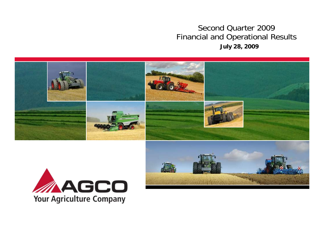### Second Quarter 2009 Financial and Operational Results **July 28, 2009**





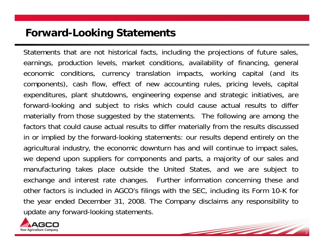### **Forward-Looking Statements**

Statements that are not historical facts, including the projections of future sales, earnings, production levels, market conditions, availability of financing, general economic conditions, currency translation impacts, working capital (and its components), cash flow, effect of new accounting rules, pricing levels, capital expenditures, plant shutdowns, engineering expense and strategic initiatives, are forward-looking and subject to risks which could cause actual results to differ materially from those suggested by the statements. The following are among the factors that could cause actual results to differ materially from the results discussed in or implied by the forward-looking statements: our results depend entirely on the agricultural industry, the economic downturn has and will continue to impact sales, we depend upon suppliers for components and parts, a majority of our sales and manufacturing takes place outside the United States, and we are subject to exchange and interest rate changes. Further information concerning these and other factors is included in AGCO's filings with the SEC, including its Form 10-K for the year ended December 31, 2008. The Company disclaims any responsibility to update any forward-looking statements.

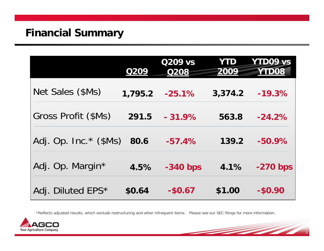|                        | <b>Q209</b> | Q209 vs<br><b>Q208</b> | YTD<br>2009 | <b>YTD09 vs</b><br><b>YTD08</b> |
|------------------------|-------------|------------------------|-------------|---------------------------------|
| Net Sales (\$Ms)       | 1,795.2     | $-25.1%$               | 3,374.2     | $-19.3%$                        |
| Gross Profit (\$Ms)    | 291.5       | $-31.9%$               | 563.8       | $-24.2%$                        |
| Adj. Op. Inc. $*($Ms)$ | 80.6        | $-57.4%$               | 139.2       | $-50.9%$                        |
| Adj. Op. Margin*       | 4.5%        | $-340$ bps             | 4.1%        | $-270$ bps                      |
| Adj. Diluted EPS*      | \$0.64      | $-$0.67$               | \$1.00      | $-$0.90$                        |

\*Reflects adjusted results, which exclude restructuring and other infrequent items. Please see our SEC filings for more information.

 $\overline{\phantom{0}}$ 

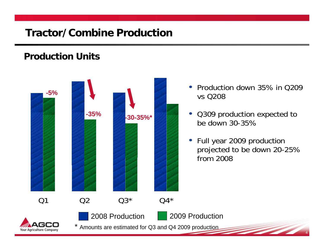# **Tractor/Combine Production**

### **Production Units**

Your Agriculture Company



- Production down 35% in Q209 vs Q208
- Q309 production expected to be down 30-35%
- Full year 2009 production projected to be down 20-25% from 2008

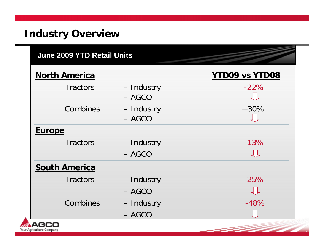# **Industry Overview**

| <b>June 2009 YTD Retail Units</b> |                        |                       |
|-----------------------------------|------------------------|-----------------------|
| <b>North America</b>              |                        | <b>YTD09 vs YTD08</b> |
| <b>Tractors</b>                   | - Industry<br>$- AGCO$ | $-22%$                |
| Combines                          | - Industry<br>$- AGCO$ | $+30\%$               |
| <b>Europe</b>                     |                        |                       |
| <b>Tractors</b>                   | - Industry             | $-13%$                |
|                                   | $- AGCO$               | $\downarrow$          |
| <b>South America</b>              |                        |                       |
| <b>Tractors</b>                   | - Industry             | $-25%$                |
|                                   | $- AGCO$               | しし                    |
| Combines                          | - Industry             | $-48%$                |
|                                   | $- AGCO$               |                       |

5

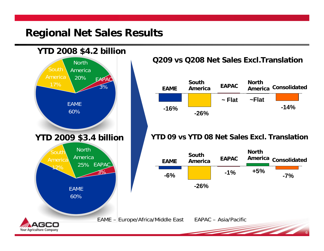### **Regional Net Sales Results**

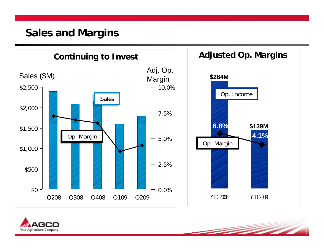### **Sales and Margins**



7

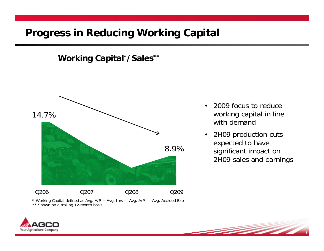### **Progress in Reducing Working Capital**



- 2009 focus to reduce working capital in line with demand
- 2H09 production cuts expected to have significant impact on 2H09 sales and earnings

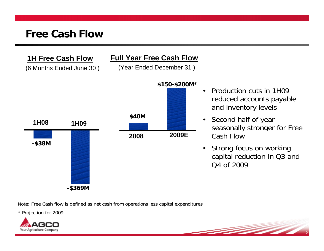#### **1H Free Cash Flow**

(6 Months Ended June 30 )

#### **Full Year Free Cash Flow**

(Year Ended December 31 )



- Production cuts in 1H09 reduced accounts payable and inventory levels
- Second half of year seasonally stronger for Free Cash Flow
- Strong focus on working capital reduction in Q3 and Q4 of 2009

Note: Free Cash flow is defined as net cash from operations less capital expenditures

\* Projection for 2009

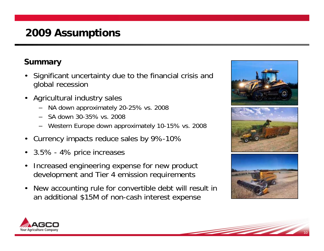# **2009 Assumptions**

### **Summary**

- Significant uncertainty due to the financial crisis and global recession
- Agricultural industry sales
	- NA down approximately 20-25% vs. 2008
	- SA down 30-35% vs. 2008
	- Western Europe down approximately 10-15% vs. 2008
- Currency impacts reduce sales by 9%-10%
- 3.5% 4% price increases
- Increased engineering expense for new product development and Tier 4 emission requirements
- New accounting rule for convertible debt will result in an additional \$15M of non-cash interest expense



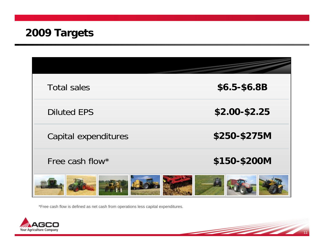| <b>Total sales</b>   | \$6.5-\$6.8B  |
|----------------------|---------------|
| <b>Diluted EPS</b>   | \$2.00-\$2.25 |
| Capital expenditures | \$250-\$275M  |
| Free cash flow*      | \$150-\$200M  |
|                      |               |

\*Free cash flow is defined as net cash from operations less capital expenditures.



and the second contract of the contract of the contract of the contract of the contract of the contract of the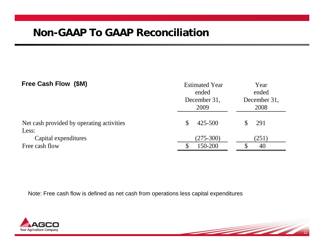| Free Cash Flow (\$M)                               | <b>Estimated Year</b><br>ended<br>December 31,<br>2009 | Year<br>ended<br>December 31,<br>2008 |  |
|----------------------------------------------------|--------------------------------------------------------|---------------------------------------|--|
| Net cash provided by operating activities<br>Less: | 425-500<br>\$                                          | 291                                   |  |
| Capital expenditures                               | $(275-300)$                                            | (251)                                 |  |
| Free cash flow                                     | 150-200                                                | 40                                    |  |

 $\overline{\phantom{a}}$ 

Note: Free cash flow is defined as net cash from operations less capital expenditures

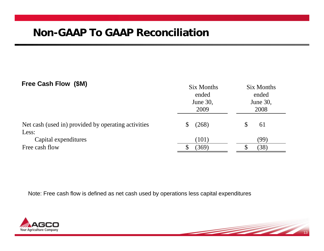#### **Free Cash Flow (\$M)**

| $1.000$ vadit tivit (viti)                          | Six Months<br>ended<br>June 30,<br>2009 | Six Months<br>ended<br>June 30,<br>2008 |
|-----------------------------------------------------|-----------------------------------------|-----------------------------------------|
| Net cash (used in) provided by operating activities | (268)<br>\$                             | 61                                      |
| Less:                                               |                                         |                                         |
| Capital expenditures                                | (101)                                   | (99                                     |
| Free cash flow                                      | (369)                                   | (38)                                    |

Note: Free cash flow is defined as net cash used by operations less capital expenditures

 $\overline{\phantom{a}}$ 

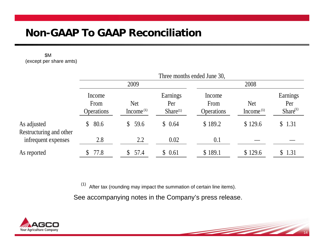# **Non-GAAP To GAAP Reconciliation**

\$M (except per share amts)

|                                                                | Three months ended June 30,                      |                                         |                                     |                            |                                         |
|----------------------------------------------------------------|--------------------------------------------------|-----------------------------------------|-------------------------------------|----------------------------|-----------------------------------------|
|                                                                | 2009                                             |                                         | 2008                                |                            |                                         |
| Income<br>From<br><b>Operations</b>                            | <b>Net</b><br>Income <sup><math>(1)</math></sup> | Earnings<br>Per<br>Share <sup>(1)</sup> | Income<br>From<br><b>Operations</b> | <b>Net</b><br>Income $(1)$ | Earnings<br>Per<br>Share <sup>(1)</sup> |
| 80.6<br>As adjusted<br>$\mathbb{S}$<br>Restructuring and other | \$59.6                                           | \$0.64                                  | \$189.2                             | \$129.6                    | \$1.31                                  |
| 2.8<br>infrequent expenses                                     | 2.2                                              | 0.02                                    | 0.1                                 |                            |                                         |
| \$77.8<br>As reported                                          | 57.4                                             | \$0.61                                  | \$189.1                             | \$129.6                    | \$1.31                                  |

 $(1)$  After tax (rounding may impact the summation of certain line items).

See accompanying notes in the Company's press release.

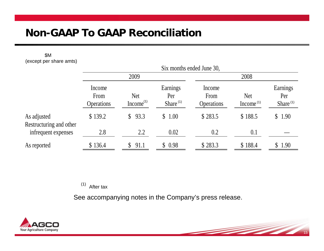# **Non-GAAP To GAAP Reconciliation**

\$M (except per share amts)

|                                        | Six months ended June 30,           |                                     |                                |                                     |                                                  |                                |
|----------------------------------------|-------------------------------------|-------------------------------------|--------------------------------|-------------------------------------|--------------------------------------------------|--------------------------------|
|                                        | 2009                                |                                     |                                | 2008                                |                                                  |                                |
|                                        | Income<br>From<br><b>Operations</b> | <b>Net</b><br>Income <sup>(1)</sup> | Earnings<br>Per<br>Share $(1)$ | Income<br>From<br><b>Operations</b> | <b>Net</b><br>Income <sup><math>(1)</math></sup> | Earnings<br>Per<br>Share $(1)$ |
| As adjusted<br>Restructuring and other | \$139.2                             | 93.3<br>$\mathbb{S}^-$              | \$1.00                         | \$283.5                             | \$188.5                                          | \$1.90                         |
| infrequent expenses                    | 2.8                                 | 2.2                                 | 0.02                           | 0.2                                 | 0.1                                              |                                |
| As reported                            | \$136.4                             | 91.1                                | \$0.98                         | \$283.3                             | \$188.4                                          | \$1.90                         |

 $(1)$  After tax

See accompanying notes in the Company's press release.